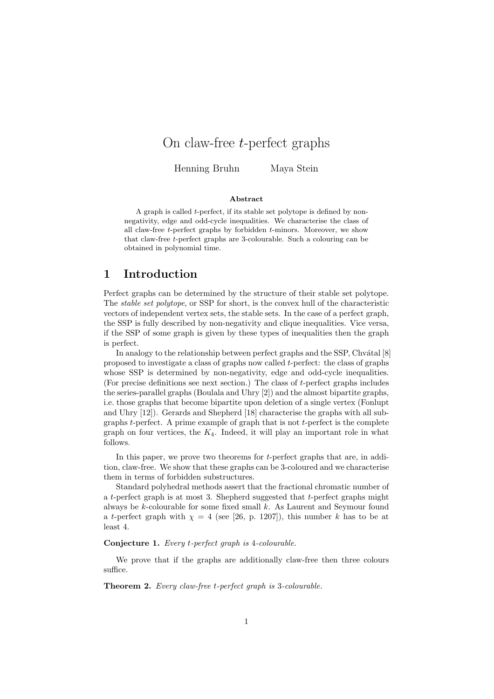# On claw-free t-perfect graphs

Henning Bruhn Maya Stein

#### Abstract

A graph is called t-perfect, if its stable set polytope is defined by nonnegativity, edge and odd-cycle inequalities. We characterise the class of all claw-free t-perfect graphs by forbidden t-minors. Moreover, we show that claw-free t-perfect graphs are 3-colourable. Such a colouring can be obtained in polynomial time.

## 1 Introduction

Perfect graphs can be determined by the structure of their stable set polytope. The stable set polytope, or SSP for short, is the convex hull of the characteristic vectors of independent vertex sets, the stable sets. In the case of a perfect graph, the SSP is fully described by non-negativity and clique inequalities. Vice versa, if the SSP of some graph is given by these types of inequalities then the graph is perfect.

In analogy to the relationship between perfect graphs and the SSP, Chv $\hat{\text{atal}}$  [8] proposed to investigate a class of graphs now called t-perfect: the class of graphs whose SSP is determined by non-negativity, edge and odd-cycle inequalities. (For precise definitions see next section.) The class of t-perfect graphs includes the series-parallel graphs (Boulala and Uhry [2]) and the almost bipartite graphs, i.e. those graphs that become bipartite upon deletion of a single vertex (Fonlupt and Uhry [12]). Gerards and Shepherd [18] characterise the graphs with all subgraphs t-perfect. A prime example of graph that is not t-perfect is the complete graph on four vertices, the  $K_4$ . Indeed, it will play an important role in what follows.

In this paper, we prove two theorems for t-perfect graphs that are, in addition, claw-free. We show that these graphs can be 3-coloured and we characterise them in terms of forbidden substructures.

Standard polyhedral methods assert that the fractional chromatic number of a  $t$ -perfect graph is at most 3. Shepherd suggested that  $t$ -perfect graphs might always be  $k$ -colourable for some fixed small  $k$ . As Laurent and Seymour found a t-perfect graph with  $\chi = 4$  (see [26, p. 1207]), this number k has to be at least 4.

#### Conjecture 1. Every t-perfect graph is 4-colourable.

We prove that if the graphs are additionally claw-free then three colours suffice.

Theorem 2. Every claw-free t-perfect graph is 3-colourable.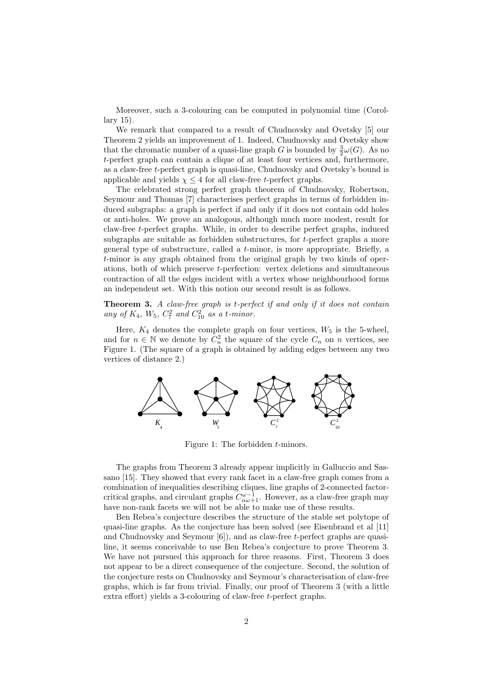Moreover, such a 3-colouring can be computed in polynomial time (Corollary 15).

We remark that compared to a result of Chudnovsky and Ovetsky [5] our Theorem 2 yields an improvement of 1. Indeed, Chudnovsky and Ovetsky show that the chromatic number of a quasi-line graph G is bounded by  $\frac{3}{2}\omega(G)$ . As no t-perfect graph can contain a clique of at least four vertices and, furthermore, as a claw-free t-perfect graph is quasi-line, Chudnovsky and Ovetsky's bound is applicable and yields  $\chi \leq 4$  for all claw-free t-perfect graphs.

The celebrated strong perfect graph theorem of Chudnovsky, Robertson, Seymour and Thomas [7] characterises perfect graphs in terms of forbidden induced subgraphs: a graph is perfect if and only if it does not contain odd holes or anti-holes. We prove an analogous, although much more modest, result for claw-free t-perfect graphs. While, in order to describe perfect graphs, induced subgraphs are suitable as forbidden substructures, for t-perfect graphs a more general type of substructure, called a t-minor, is more appropriate. Briefly, a t-minor is any graph obtained from the original graph by two kinds of operations, both of which preserve t-perfection: vertex deletions and simultaneous contraction of all the edges incident with a vertex whose neighbourhood forms an independent set. With this notion our second result is as follows.

#### **Theorem 3.** A claw-free graph is t-perfect if and only if it does not contain any of  $K_4$ ,  $W_5$ ,  $C_7^2$  and  $C_{10}^2$  as a t-minor.

Here,  $K_4$  denotes the complete graph on four vertices,  $W_5$  is the 5-wheel, and for  $n \in \mathbb{N}$  we denote by  $C_n^2$  the square of the cycle  $C_n$  on n vertices, see Figure 1. (The square of a graph is obtained by adding edges between any two vertices of distance 2.)



Figure 1: The forbidden t-minors.

The graphs from Theorem 3 already appear implicitly in Galluccio and Sassano [15]. They showed that every rank facet in a claw-free graph comes from a combination of inequalities describing cliques, line graphs of 2-connected factorcritical graphs, and circulant graphs  $C_{\alpha\omega+1}^{\omega-1}$ . However, as a claw-free graph may have non-rank facets we will not be able to make use of these results.

Ben Rebea's conjecture describes the structure of the stable set polytope of quasi-line graphs. As the conjecture has been solved (see Eisenbrand et al [11] and Chudnovsky and Seymour  $[6]$ , and as claw-free t-perfect graphs are quasiline, it seems conceivable to use Ben Rebea's conjecture to prove Theorem 3. We have not pursued this approach for three reasons. First, Theorem 3 does not appear to be a direct consequence of the conjecture. Second, the solution of the conjecture rests on Chudnovsky and Seymour's characterisation of claw-free graphs, which is far from trivial. Finally, our proof of Theorem 3 (with a little extra effort) yields a 3-colouring of claw-free t-perfect graphs.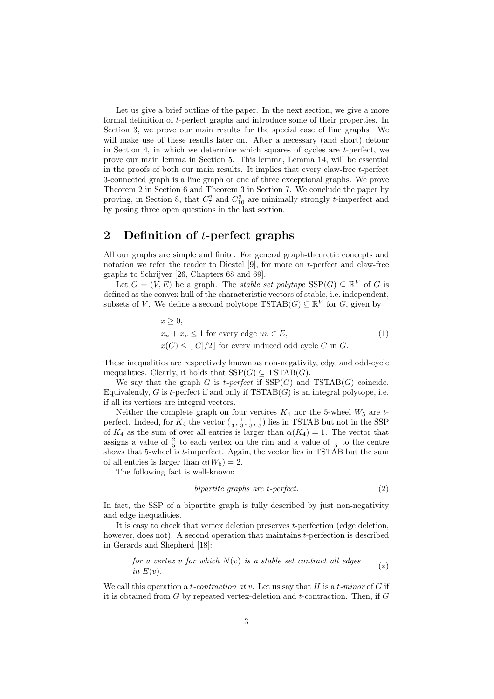Let us give a brief outline of the paper. In the next section, we give a more formal definition of t-perfect graphs and introduce some of their properties. In Section 3, we prove our main results for the special case of line graphs. We will make use of these results later on. After a necessary (and short) detour in Section 4, in which we determine which squares of cycles are t-perfect, we prove our main lemma in Section 5. This lemma, Lemma 14, will be essential in the proofs of both our main results. It implies that every claw-free t-perfect 3-connected graph is a line graph or one of three exceptional graphs. We prove Theorem 2 in Section 6 and Theorem 3 in Section 7. We conclude the paper by proving, in Section 8, that  $C_7^2$  and  $C_{10}^2$  are minimally strongly t-imperfect and by posing three open questions in the last section.

## 2 Definition of *t*-perfect graphs

All our graphs are simple and finite. For general graph-theoretic concepts and notation we refer the reader to Diestel [9], for more on t-perfect and claw-free graphs to Schrijver [26, Chapters 68 and 69].

Let  $G = (V, E)$  be a graph. The *stable set polytope*  $SSP(G) \subseteq \mathbb{R}^V$  of G is defined as the convex hull of the characteristic vectors of stable, i.e. independent, subsets of V. We define a second polytope  $TSTAB(G) \subseteq \mathbb{R}^V$  for G, given by

$$
x \ge 0,
$$
  
\n
$$
x_u + x_v \le 1 \text{ for every edge } uv \in E,
$$
  
\n
$$
x(C) \le |C|/2 \text{ for every induced odd cycle } C \text{ in } G.
$$
 (1)

These inequalities are respectively known as non-negativity, edge and odd-cycle inequalities. Clearly, it holds that  $SSP(G) \subseteq TSTAB(G)$ .

We say that the graph G is t-perfect if  $SSP(G)$  and  $TSTAB(G)$  coincide. Equivalently,  $G$  is t-perfect if and only if  $TSTAB(G)$  is an integral polytope, i.e. if all its vertices are integral vectors.

Neither the complete graph on four vertices  $K_4$  nor the 5-wheel  $W_5$  are tperfect. Indeed, for  $K_4$  the vector  $(\frac{1}{3}, \frac{1}{3}, \frac{1}{3}, \frac{1}{3})$  lies in TSTAB but not in the SSP of  $K_4$  as the sum of over all entries is larger than  $\alpha(K_4) = 1$ . The vector that assigns a value of  $\frac{2}{5}$  to each vertex on the rim and a value of  $\frac{1}{5}$  to the centre shows that 5-wheel is t-imperfect. Again, the vector lies in TSTAB but the sum of all entries is larger than  $\alpha(W_5) = 2$ .

The following fact is well-known:

$$
bipartite graphs are t-perfect. \tag{2}
$$

In fact, the SSP of a bipartite graph is fully described by just non-negativity and edge inequalities.

It is easy to check that vertex deletion preserves t-perfection (edge deletion, however, does not). A second operation that maintains *t*-perfection is described in Gerards and Shepherd [18]:

for a vertex v for which 
$$
N(v)
$$
 is a stable set contract all edges  
in  $E(v)$ . 
$$
(*)
$$

We call this operation a t-contraction at v. Let us say that  $H$  is a t-minor of  $G$  if it is obtained from  $G$  by repeated vertex-deletion and t-contraction. Then, if  $G$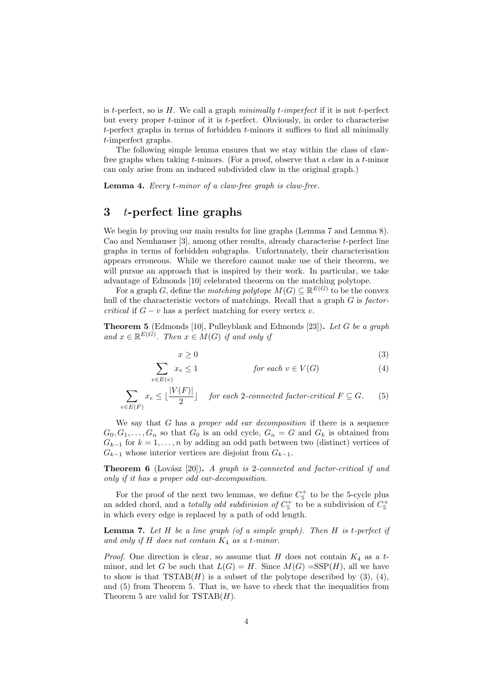is t-perfect, so is  $H$ . We call a graph minimally t-imperfect if it is not t-perfect but every proper t-minor of it is t-perfect. Obviously, in order to characterise t-perfect graphs in terms of forbidden t-minors it suffices to find all minimally t-imperfect graphs.

The following simple lemma ensures that we stay within the class of clawfree graphs when taking  $t$ -minors. (For a proof, observe that a claw in a  $t$ -minor can only arise from an induced subdivided claw in the original graph.)

Lemma 4. Every *t*-minor of a claw-free graph is claw-free.

## 3 t-perfect line graphs

We begin by proving our main results for line graphs (Lemma 7 and Lemma 8). Cao and Nemhauser [3], among other results, already characterise t-perfect line graphs in terms of forbidden subgraphs. Unfortunately, their characterisation appears erroneous. While we therefore cannot make use of their theorem, we will pursue an approach that is inspired by their work. In particular, we take advantage of Edmonds [10] celebrated theorem on the matching polytope.

For a graph G, define the *matching polytope*  $M(G) \subseteq \mathbb{R}^{E(G)}$  to be the convex hull of the characteristic vectors of matchings. Recall that a graph  $G$  is factor*critical* if  $G - v$  has a perfect matching for every vertex v.

Theorem 5 (Edmonds [10], Pulleyblank and Edmonds [23]). Let G be a graph and  $x \in \mathbb{R}^{E(G)}$ . Then  $x \in M(G)$  if and only if

$$
x \ge 0 \tag{3}
$$

$$
\sum_{e \in E(v)} x_e \le 1 \qquad \qquad \text{for each } v \in V(G) \tag{4}
$$

$$
\sum_{e \in E(F)} x_e \le \lfloor \frac{|V(F)|}{2} \rfloor \quad \text{for each 2-connected factor-critical } F \subseteq G. \tag{5}
$$

We say that  $G$  has a *proper odd ear decomposition* if there is a sequence  $G_0, G_1, \ldots, G_n$  so that  $G_0$  is an odd cycle,  $G_n = G$  and  $G_k$  is obtained from  $G_{k-1}$  for  $k = 1, \ldots, n$  by adding an odd path between two (distinct) vertices of  $G_{k-1}$  whose interior vertices are disjoint from  $G_{k-1}$ .

**Theorem 6** (Lovász [20]). A graph is 2-connected and factor-critical if and only if it has a proper odd ear-decomposition.

For the proof of the next two lemmas, we define  $C_5^+$  to be the 5-cycle plus an added chord, and a *totally odd subdivision of*  $C_5^+$  to be a subdivision of  $C_5^+$ in which every edge is replaced by a path of odd length.

**Lemma 7.** Let  $H$  be a line graph (of a simple graph). Then  $H$  is t-perfect if and only if  $H$  does not contain  $K_4$  as a t-minor.

*Proof.* One direction is clear, so assume that H does not contain  $K_4$  as a tminor, and let G be such that  $L(G) = H$ . Since  $M(G) =$ SSP $(H)$ , all we have to show is that  $TSTAB(H)$  is a subset of the polytope described by (3), (4), and (5) from Theorem 5. That is, we have to check that the inequalities from Theorem 5 are valid for  $TSTAB(H)$ .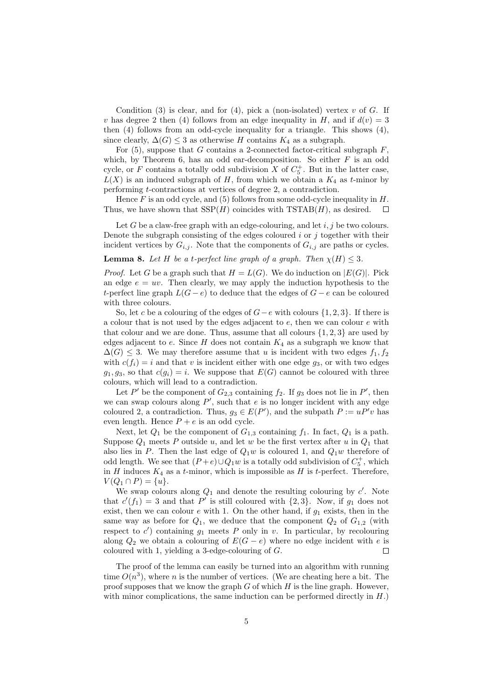Condition (3) is clear, and for (4), pick a (non-isolated) vertex  $v$  of  $G$ . If v has degree 2 then (4) follows from an edge inequality in H, and if  $d(v) = 3$ then  $(4)$  follows from an odd-cycle inequality for a triangle. This shows  $(4)$ , since clearly,  $\Delta(G) \leq 3$  as otherwise H contains  $K_4$  as a subgraph.

For  $(5)$ , suppose that G contains a 2-connected factor-critical subgraph  $F$ , which, by Theorem 6, has an odd ear-decomposition. So either  $F$  is an odd cycle, or F contains a totally odd subdivision X of  $C_5^+$ . But in the latter case,  $L(X)$  is an induced subgraph of H, from which we obtain a  $K_4$  as t-minor by performing t-contractions at vertices of degree 2, a contradiction.

Hence F is an odd cycle, and (5) follows from some odd-cycle inequality in  $H$ . Thus, we have shown that  $SSP(H)$  coincides with  $TSTAB(H)$ , as desired.  $\Box$ 

Let G be a claw-free graph with an edge-colouring, and let  $i, j$  be two colours. Denote the subgraph consisting of the edges coloured i or j together with their incident vertices by  $G_{i,j}$ . Note that the components of  $G_{i,j}$  are paths or cycles.

#### **Lemma 8.** Let H be a t-perfect line graph of a graph. Then  $\chi(H) < 3$ .

*Proof.* Let G be a graph such that  $H = L(G)$ . We do induction on  $|E(G)|$ . Pick an edge  $e = uv$ . Then clearly, we may apply the induction hypothesis to the t-perfect line graph  $L(G - e)$  to deduce that the edges of  $G - e$  can be coloured with three colours.

So, let c be a colouring of the edges of  $G-e$  with colours  $\{1,2,3\}$ . If there is a colour that is not used by the edges adjacent to  $e$ , then we can colour  $e$  with that colour and we are done. Thus, assume that all colours  $\{1, 2, 3\}$  are used by edges adjacent to e. Since H does not contain  $K_4$  as a subgraph we know that  $\Delta(G) \leq 3$ . We may therefore assume that u is incident with two edges  $f_1, f_2$ with  $c(f_i) = i$  and that v is incident either with one edge  $g_3$ , or with two edges  $g_1, g_3$ , so that  $c(g_i) = i$ . We suppose that  $E(G)$  cannot be coloured with three colours, which will lead to a contradiction.

Let P' be the component of  $G_{2,3}$  containing  $f_2$ . If  $g_3$  does not lie in P', then we can swap colours along  $P'$ , such that  $e$  is no longer incident with any edge coloured 2, a contradiction. Thus,  $g_3 \in E(P')$ , and the subpath  $P := uP'v$  has even length. Hence  $P + e$  is an odd cycle.

Next, let  $Q_1$  be the component of  $G_{1,3}$  containing  $f_1$ . In fact,  $Q_1$  is a path. Suppose  $Q_1$  meets P outside u, and let w be the first vertex after u in  $Q_1$  that also lies in P. Then the last edge of  $Q_1w$  is coloured 1, and  $Q_1w$  therefore of odd length. We see that  $(P+e) \cup Q_1w$  is a totally odd subdivision of  $C_5^+$ , which in  $H$  induces  $K_4$  as a t-minor, which is impossible as  $H$  is t-perfect. Therefore,  $V(Q_1 \cap P) = \{u\}.$ 

We swap colours along  $Q_1$  and denote the resulting colouring by  $c'$ . Note that  $c'(f_1) = 3$  and that P' is still coloured with  $\{2, 3\}$ . Now, if  $g_1$  does not exist, then we can colour  $e$  with 1. On the other hand, if  $g_1$  exists, then in the same way as before for  $Q_1$ , we deduce that the component  $Q_2$  of  $G_{1,2}$  (with respect to  $c'$ ) containing  $g_1$  meets P only in v. In particular, by recolouring along  $Q_2$  we obtain a colouring of  $E(G - e)$  where no edge incident with e is coloured with 1, yielding a 3-edge-colouring of G.  $\Box$ 

The proof of the lemma can easily be turned into an algorithm with running time  $O(n^3)$ , where *n* is the number of vertices. (We are cheating here a bit. The proof supposes that we know the graph  $G$  of which  $H$  is the line graph. However, with minor complications, the same induction can be performed directly in  $H$ .)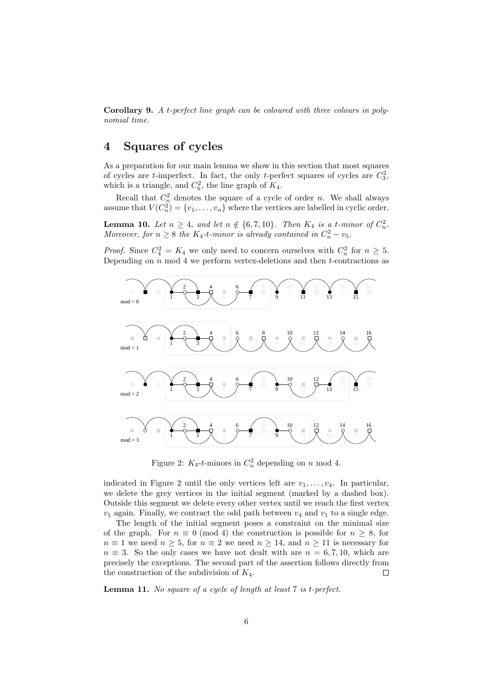Corollary 9. A t-perfect line graph can be coloured with three colours in polynomial time.

# 4 Squares of cycles

As a preparation for our main lemma we show in this section that most squares of cycles are  $t$ -imperfect. In fact, the only  $t$ -perfect squares of cycles are  $C_3^2$ , which is a triangle, and  $C_6^2$ , the line graph of  $K_4$ .

Recall that  $C_n^2$  denotes the square of a cycle of order n. We shall always assume that  $V(C_n^2) = \{v_1, \ldots, v_n\}$  where the vertices are labelled in cyclic order.

**Lemma 10.** Let  $n \geq 4$ , and let  $n \notin \{6, 7, 10\}$ . Then  $K_4$  is a t-minor of  $C_n^2$ . Moreover, for  $n \geq 8$  the K<sub>4</sub>-t-minor is already contained in  $C_n^2 - v_5$ .

*Proof.* Since  $C_4^2 = K_4$  we only need to concern ourselves with  $C_n^2$  for  $n \geq 5$ . Depending on  $n \mod 4$  we perform vertex-deletions and then  $t$ -contractions as



Figure 2:  $K_4$ -t-minors in  $C_n^2$  depending on n mod 4.

indicated in Figure 2 until the only vertices left are  $v_1, \ldots, v_4$ . In particular, we delete the grey vertices in the initial segment (marked by a dashed box). Outside this segment we delete every other vertex until we reach the first vertex  $v_1$  again. Finally, we contract the odd path between  $v_4$  and  $v_1$  to a single edge.

The length of the initial segment poses a constraint on the minimal size of the graph. For  $n \equiv 0 \pmod{4}$  the construction is possible for  $n \geq 8$ , for  $n \equiv 1$  we need  $n > 5$ , for  $n \equiv 2$  we need  $n > 14$ , and  $n > 11$  is necessary for  $n \equiv 3$ . So the only cases we have not dealt with are  $n = 6, 7, 10$ , which are precisely the exceptions. The second part of the assertion follows directly from the construction of the subdivision of  $K_4$ .  $\Box$ 

**Lemma 11.** No square of a cycle of length at least  $7$  is t-perfect.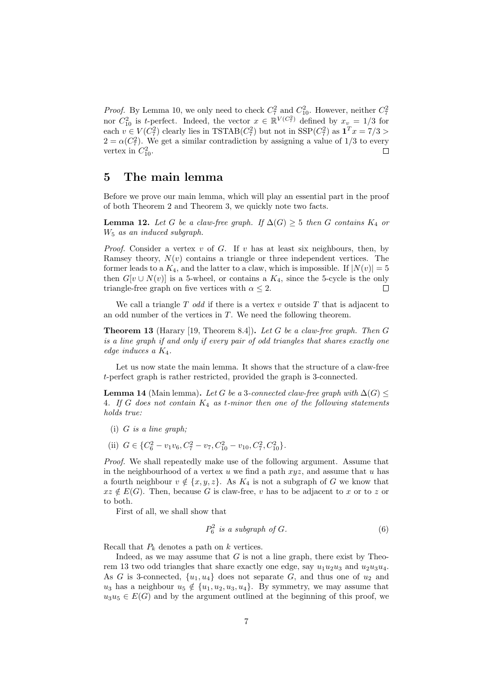*Proof.* By Lemma 10, we only need to check  $C_7^2$  and  $C_{10}^2$ . However, neither  $C_7^2$ nor  $C_{10}^2$  is t-perfect. Indeed, the vector  $x \in \mathbb{R}^{V(C_7^2)}$  defined by  $x_v = 1/3$  for each  $v \in V(C_7^2)$  clearly lies in TSTAB $(C_7^2)$  but not in SSP $(C_7^2)$  as  $\mathbf{1}^T x = 7/3 > 0$  $2 = \alpha(C_7^2)$ . We get a similar contradiction by assigning a value of 1/3 to every vertex in  $C_{10}^2$ .  $\Box$ 

#### 5 The main lemma

Before we prove our main lemma, which will play an essential part in the proof of both Theorem 2 and Theorem 3, we quickly note two facts.

**Lemma 12.** Let G be a claw-free graph. If  $\Delta(G) \geq 5$  then G contains  $K_4$  or W<sup>5</sup> as an induced subgraph.

*Proof.* Consider a vertex  $v$  of  $G$ . If  $v$  has at least six neighbours, then, by Ramsey theory,  $N(v)$  contains a triangle or three independent vertices. The former leads to a  $K_4$ , and the latter to a claw, which is impossible. If  $|N(v)| = 5$ then  $G[v \cup N(v)]$  is a 5-wheel, or contains a  $K_4$ , since the 5-cycle is the only triangle-free graph on five vertices with  $\alpha \leq 2$ . Г

We call a triangle T odd if there is a vertex v outside T that is adjacent to an odd number of the vertices in  $T$ . We need the following theorem.

**Theorem 13** (Harary [19, Theorem 8.4]). Let G be a claw-free graph. Then  $G$ is a line graph if and only if every pair of odd triangles that shares exactly one edge induces a K4.

Let us now state the main lemma. It shows that the structure of a claw-free t-perfect graph is rather restricted, provided the graph is 3-connected.

**Lemma 14** (Main lemma). Let G be a 3-connected claw-free graph with  $\Delta(G) \leq$ 4. If G does not contain  $K_4$  as t-minor then one of the following statements holds true:

- (i) G is a line graph;
- (ii)  $G \in \{C_6^2 v_1v_6, C_7^2 v_7, C_{10}^2 v_{10}, C_7^2, C_{10}^2\}.$

Proof. We shall repeatedly make use of the following argument. Assume that in the neighbourhood of a vertex u we find a path  $xyz$ , and assume that u has a fourth neighbour  $v \notin \{x, y, z\}$ . As  $K_4$  is not a subgraph of G we know that  $xz \notin E(G)$ . Then, because G is claw-free, v has to be adjacent to x or to z or to both.

First of all, we shall show that

$$
P_6^2 \text{ is a subgraph of } G. \tag{6}
$$

Recall that  $P_k$  denotes a path on k vertices.

Indeed, as we may assume that  $G$  is not a line graph, there exist by Theorem 13 two odd triangles that share exactly one edge, say  $u_1u_2u_3$  and  $u_2u_3u_4$ . As G is 3-connected,  $\{u_1, u_4\}$  does not separate G, and thus one of  $u_2$  and  $u_3$  has a neighbour  $u_5 \notin \{u_1, u_2, u_3, u_4\}$ . By symmetry, we may assume that  $u_3u_5 \in E(G)$  and by the argument outlined at the beginning of this proof, we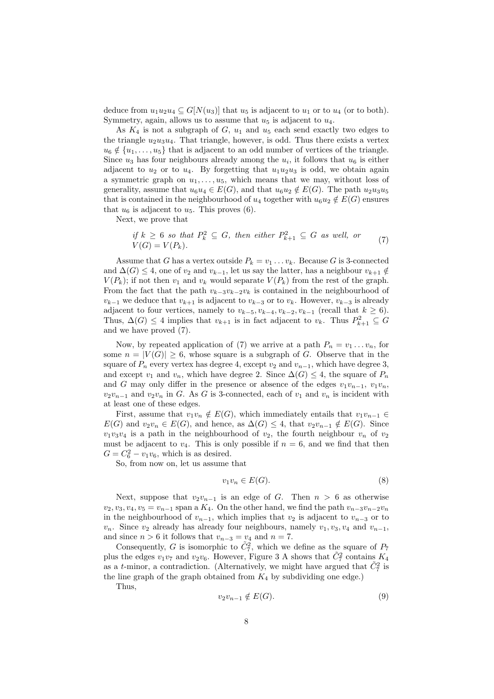deduce from  $u_1u_2u_4 \nsubseteq G[N(u_3)]$  that  $u_5$  is adjacent to  $u_1$  or to  $u_4$  (or to both). Symmetry, again, allows us to assume that  $u_5$  is adjacent to  $u_4$ .

As  $K_4$  is not a subgraph of  $G$ ,  $u_1$  and  $u_5$  each send exactly two edges to the triangle  $u_2u_3u_4$ . That triangle, however, is odd. Thus there exists a vertex  $u_6 \notin \{u_1, \ldots, u_5\}$  that is adjacent to an odd number of vertices of the triangle. Since  $u_3$  has four neighbours already among the  $u_i$ , it follows that  $u_6$  is either adjacent to  $u_2$  or to  $u_4$ . By forgetting that  $u_1u_2u_3$  is odd, we obtain again a symmetric graph on  $u_1, \ldots, u_5$ , which means that we may, without loss of generality, assume that  $u_6u_4 \in E(G)$ , and that  $u_6u_2 \notin E(G)$ . The path  $u_2u_3u_5$ that is contained in the neighbourhood of  $u_4$  together with  $u_6u_2 \notin E(G)$  ensures that  $u_6$  is adjacent to  $u_5$ . This proves (6).

Next, we prove that

if 
$$
k \geq 6
$$
 so that  $P_k^2 \subseteq G$ , then either  $P_{k+1}^2 \subseteq G$  as well, or  
 $V(G) = V(P_k)$ . (7)

Assume that G has a vertex outside  $P_k = v_1 \dots v_k$ . Because G is 3-connected and  $\Delta(G) \leq 4$ , one of  $v_2$  and  $v_{k-1}$ , let us say the latter, has a neighbour  $v_{k+1} \notin$  $V(P_k)$ ; if not then  $v_1$  and  $v_k$  would separate  $V(P_k)$  from the rest of the graph. From the fact that the path  $v_{k-3}v_{k-2}v_k$  is contained in the neighbourhood of  $v_{k-1}$  we deduce that  $v_{k+1}$  is adjacent to  $v_{k-3}$  or to  $v_k$ . However,  $v_{k-3}$  is already adjacent to four vertices, namely to  $v_{k-5}$ ,  $v_{k-4}$ ,  $v_{k-2}$ ,  $v_{k-1}$  (recall that  $k \ge 6$ ). Thus,  $\Delta(G) \leq 4$  implies that  $v_{k+1}$  is in fact adjacent to  $v_k$ . Thus  $P_{k+1}^2 \subseteq G$ and we have proved (7).

Now, by repeated application of (7) we arrive at a path  $P_n = v_1 \dots v_n$ , for some  $n = |V(G)| \geq 6$ , whose square is a subgraph of G. Observe that in the square of  $P_n$  every vertex has degree 4, except  $v_2$  and  $v_{n-1}$ , which have degree 3, and except  $v_1$  and  $v_n$ , which have degree 2. Since  $\Delta(G) \leq 4$ , the square of  $P_n$ and G may only differ in the presence or absence of the edges  $v_1v_{n-1}$ ,  $v_1v_n$ ,  $v_2v_{n-1}$  and  $v_2v_n$  in G. As G is 3-connected, each of  $v_1$  and  $v_n$  is incident with at least one of these edges.

First, assume that  $v_1v_n \notin E(G)$ , which immediately entails that  $v_1v_{n-1} \in$  $E(G)$  and  $v_2v_n \in E(G)$ , and hence, as  $\Delta(G) \leq 4$ , that  $v_2v_{n-1} \notin E(G)$ . Since  $v_1v_3v_4$  is a path in the neighbourhood of  $v_2$ , the fourth neighbour  $v_n$  of  $v_2$ must be adjacent to  $v_4$ . This is only possible if  $n = 6$ , and we find that then  $G = C_6^2 - v_1 v_6$ , which is as desired.

So, from now on, let us assume that

$$
v_1v_n \in E(G). \tag{8}
$$

Next, suppose that  $v_2v_{n-1}$  is an edge of G. Then  $n > 6$  as otherwise  $v_2, v_3, v_4, v_5 = v_{n-1}$  span a  $K_4$ . On the other hand, we find the path  $v_{n-3}v_{n-2}v_n$ in the neighbourhood of  $v_{n-1}$ , which implies that  $v_2$  is adjacent to  $v_{n-3}$  or to  $v_n$ . Since  $v_2$  already has already four neighbours, namely  $v_1, v_3, v_4$  and  $v_{n-1}$ , and since  $n > 6$  it follows that  $v_{n-3} = v_4$  and  $n = 7$ .

Consequently, G is isomorphic to  $\tilde{C}_7^2$ , which we define as the square of  $P_7$ plus the edges  $v_1v_7$  and  $v_2v_6$ . However, Figure 3 A shows that  $\tilde{C}_7^2$  contains  $K_4$ as a t-minor, a contradiction. (Alternatively, we might have argued that  $\tilde{C}_7^2$  is the line graph of the graph obtained from  $K_4$  by subdividing one edge.)

Thus,

$$
v_2v_{n-1} \notin E(G). \tag{9}
$$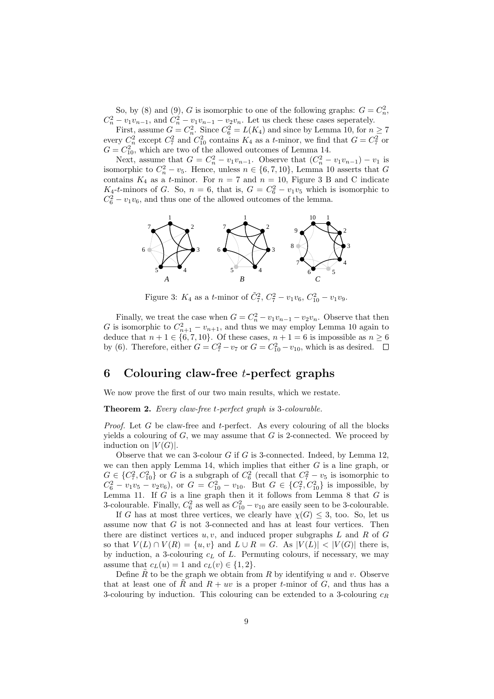So, by (8) and (9), G is isomorphic to one of the following graphs:  $G = C_n^2$ ,  $C_n^2 - v_1v_{n-1}$ , and  $C_n^2 - v_1v_{n-1} - v_2v_n$ . Let us check these cases seperately.

First, assume  $G = C_n^2$ . Since  $C_6^2 = L(K_4)$  and since by Lemma 10, for  $n \ge 7$ every  $C_n^2$  except  $C_7^2$  and  $C_{10}^2$  contains  $K_4$  as a t-minor, we find that  $G = C_7^2$  or  $G = C_{10}^2$ , which are two of the allowed outcomes of Lemma 14.

Next, assume that  $G = C_n^2 - v_1v_{n-1}$ . Observe that  $(C_n^2 - v_1v_{n-1}) - v_1$  is isomorphic to  $C_n^2 - v_5$ . Hence, unless  $n \in \{6, 7, 10\}$ , Lemma 10 asserts that G contains  $K_4$  as a t-minor. For  $n = 7$  and  $n = 10$ , Figure 3 B and C indicate  $K_4$ -t-minors of G. So,  $n = 6$ , that is,  $G = C_6^2 - v_1v_5$  which is isomorphic to  $C_6^2 - v_1v_6$ , and thus one of the allowed outcomes of the lemma.



Figure 3:  $K_4$  as a *t*-minor of  $\tilde{C}_7^2$ ,  $C_7^2 - v_1v_6$ ,  $C_{10}^2 - v_1v_9$ .

Finally, we treat the case when  $G = C_n^2 - v_1v_{n-1} - v_2v_n$ . Observe that then G is isomorphic to  $C_{n+1}^2 - v_{n+1}$ , and thus we may employ Lemma 10 again to deduce that  $n + 1 \in \{6, 7, 10\}$ . Of these cases,  $n + 1 = 6$  is impossible as  $n \ge 6$ by (6). Therefore, either  $G = C_7^2 - v_7$  or  $G = C_{10}^2 - v_{10}$ , which is as desired.

## 6 Colouring claw-free  $t$ -perfect graphs

We now prove the first of our two main results, which we restate.

Theorem 2. Every claw-free t-perfect graph is 3-colourable.

*Proof.* Let  $G$  be claw-free and  $t$ -perfect. As every colouring of all the blocks yields a colouring of  $G$ , we may assume that  $G$  is 2-connected. We proceed by induction on  $|V(G)|$ .

Observe that we can 3-colour  $G$  if  $G$  is 3-connected. Indeed, by Lemma 12, we can then apply Lemma 14, which implies that either  $G$  is a line graph, or  $G \in \{C_7^2, C_{10}^2\}$  or G is a subgraph of  $C_6^2$  (recall that  $C_7^2 - v_5$  is isomorphic to  $C_6^2 - v_1v_5 - v_2v_6$ , or  $G = C_{10}^2 - v_{10}$ . But  $G \in \{C_7^2, C_{10}^2\}$  is impossible, by Lemma 11. If  $G$  is a line graph then it it follows from Lemma 8 that  $G$  is 3-colourable. Finally,  $C_6^2$  as well as  $C_{10}^2 - v_{10}$  are easily seen to be 3-colourable.

If G has at most three vertices, we clearly have  $\chi(G) \leq 3$ , too. So, let us assume now that G is not 3-connected and has at least four vertices. Then there are distinct vertices  $u, v$ , and induced proper subgraphs  $L$  and  $R$  of  $G$ so that  $V(L) \cap V(R) = \{u, v\}$  and  $L \cup R = G$ . As  $|V(L)| < |V(G)|$  there is, by induction, a 3-colouring  $c<sub>L</sub>$  of L. Permuting colours, if necessary, we may assume that  $c_L(u) = 1$  and  $c_L(v) \in \{1, 2\}.$ 

Define  $\tilde{R}$  to be the graph we obtain from R by identifying u and v. Observe that at least one of  $\tilde{R}$  and  $R + uv$  is a proper t-minor of G, and thus has a 3-colouring by induction. This colouring can be extended to a 3-colouring  $c_R$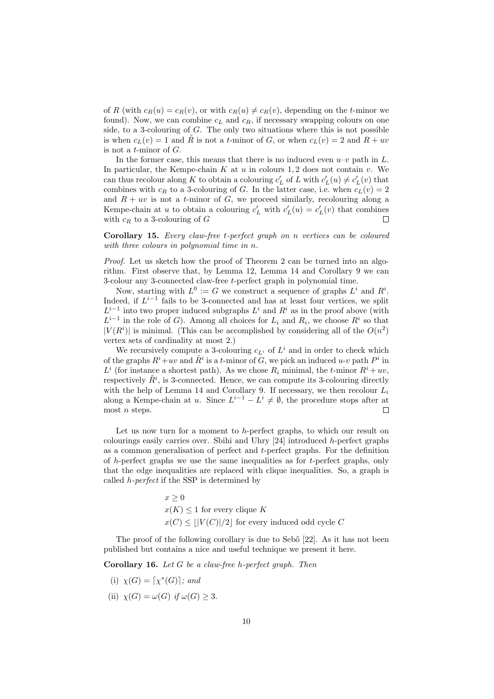of R (with  $c_R(u) = c_R(v)$ , or with  $c_R(u) \neq c_R(v)$ , depending on the t-minor we found). Now, we can combine  $c<sub>L</sub>$  and  $c<sub>R</sub>$ , if necessary swapping colours on one side, to a 3-colouring of  $G$ . The only two situations where this is not possible is when  $c_L(v) = 1$  and  $\tilde{R}$  is not a t-minor of G, or when  $c_L(v) = 2$  and  $R + uv$ is not a  $t$ -minor of  $G$ .

In the former case, this means that there is no induced even  $u-v$  path in L. In particular, the Kempe-chain K at u in colours 1, 2 does not contain v. We can thus recolour along K to obtain a colouring  $c'_{L}$  of L with  $c'_{L}(u) \neq c'_{L}(v)$  that combines with  $c_R$  to a 3-colouring of G. In the latter case, i.e. when  $c_L(v) = 2$ and  $R + uv$  is not a t-minor of G, we proceed similarly, recolouring along a Kempe-chain at u to obtain a colouring  $c'_{L}$  with  $c'_{L}(u) = c'_{L}(v)$  that combines with  $c_R$  to a 3-colouring of  $G$  $\Box$ 

Corollary 15. Every claw-free t-perfect graph on n vertices can be coloured with three colours in polynomial time in n.

Proof. Let us sketch how the proof of Theorem 2 can be turned into an algorithm. First observe that, by Lemma 12, Lemma 14 and Corollary 9 we can 3-colour any 3-connected claw-free t-perfect graph in polynomial time.

Now, starting with  $L^0 := G$  we construct a sequence of graphs  $L^i$  and  $R^i$ . Indeed, if  $L^{i-1}$  fails to be 3-connected and has at least four vertices, we split  $L^{i-1}$  into two proper induced subgraphs  $L^i$  and  $R^i$  as in the proof above (with  $L^{i-1}$  in the role of G). Among all choices for  $L_i$  and  $R_i$ , we choose  $R^i$  so that  $|V(R^i)|$  is minimal. (This can be accomplished by considering all of the  $O(n^2)$ ) vertex sets of cardinality at most 2.)

We recursively compute a 3-colouring  $c_{L}$  of  $L^i$  and in order to check which of the graphs  $R^i+uv$  and  $\tilde{R}^i$  is a t-minor of  $\tilde{G}$ , we pick an induced  $u\text{-}v$  path  $P^i$  in  $L^i$  (for instance a shortest path). As we chose  $R_i$  minimal, the t-minor  $R^i + uv$ , respectively  $\tilde{R}^i$ , is 3-connected. Hence, we can compute its 3-colouring directly with the help of Lemma 14 and Corollary 9. If necessary, we then recolour  $L_i$ along a Kempe-chain at u. Since  $L^{i-1} - L^i \neq \emptyset$ , the procedure stops after at most  $n$  steps. П

Let us now turn for a moment to  $h$ -perfect graphs, to which our result on colourings easily carries over. Sbihi and Uhry [24] introduced h-perfect graphs as a common generalisation of perfect and t-perfect graphs. For the definition of h-perfect graphs we use the same inequalities as for t-perfect graphs, only that the edge inequalities are replaced with clique inequalities. So, a graph is called  $h$ -perfect if the SSP is determined by

> $x \geq 0$  $x(K) \leq 1$  for every clique K  $x(C) \leq ||V(C)||/2$  for every induced odd cycle C

The proof of the following corollary is due to Seb<sup>o</sup> [22]. As it has not been published but contains a nice and useful technique we present it here.

**Corollary 16.** Let  $G$  be a claw-free h-perfect graph. Then

- (i)  $\chi(G) = [\chi^*(G)]$ ; and
- (ii)  $\chi(G) = \omega(G)$  if  $\omega(G) > 3$ .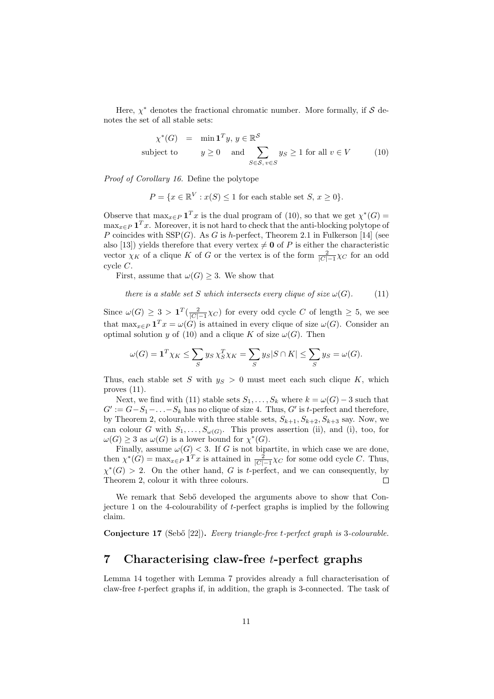Here,  $\chi^*$  denotes the fractional chromatic number. More formally, if S denotes the set of all stable sets:

$$
\chi^*(G) = \min \mathbf{1}^T y, \ y \in \mathbb{R}^S
$$
\nsubject to 
$$
y \ge 0 \quad \text{and} \sum_{S \in \mathcal{S}, \ v \in S} y_S \ge 1 \text{ for all } v \in V \tag{10}
$$

Proof of Corollary 16. Define the polytope

$$
P = \{x \in \mathbb{R}^V : x(S) \le 1 \text{ for each stable set } S, x \ge 0\}.
$$

Observe that  $\max_{x \in P} \mathbf{1}^T x$  is the dual program of (10), so that we get  $\chi^*(G)$  =  $\max_{x \in P} \mathbf{1}^T x$ . Moreover, it is not hard to check that the anti-blocking polytope of P coincides with  $SSP(G)$ . As G is h-perfect, Theorem 2.1 in Fulkerson [14] (see also [13]) yields therefore that every vertex  $\neq 0$  of P is either the characteristic vector  $\chi_K$  of a clique K of G or the vertex is of the form  $\frac{2}{|C|-1}\chi_C$  for an odd cycle C.

First, assume that  $\omega(G) \geq 3$ . We show that

there is a stable set S which intersects every clique of size  $\omega(G)$ . (11)

Since  $\omega(G) \geq 3 > \mathbf{1}^T(\frac{2}{|C|-1}\chi_C)$  for every odd cycle C of length  $\geq 5$ , we see that  $\max_{x \in P} \mathbf{1}^T x = \omega(G)$  is attained in every clique of size  $\omega(G)$ . Consider an optimal solution y of (10) and a clique K of size  $\omega(G)$ . Then

$$
\omega(G) = \mathbf{1}^T \chi_K \le \sum_S y_S \chi_S^T \chi_K = \sum_S y_S |S \cap K| \le \sum_S y_S = \omega(G).
$$

Thus, each stable set S with  $y_S > 0$  must meet each such clique K, which proves (11).

Next, we find with (11) stable sets  $S_1, \ldots, S_k$  where  $k = \omega(G) - 3$  such that  $G' := G - S_1 - \ldots - S_k$  has no clique of size 4. Thus, G' is t-perfect and therefore, by Theorem 2, colourable with three stable sets,  $S_{k+1}, S_{k+2}, S_{k+3}$  say. Now, we can colour G with  $S_1, \ldots, S_{\omega(G)}$ . This proves assertion (ii), and (i), too, for  $\omega(G) \geq 3$  as  $\omega(G)$  is a lower bound for  $\chi^*(G)$ .

Finally, assume  $\omega(G) < 3$ . If G is not bipartite, in which case we are done, then  $\chi^*(G) = \max_{x \in P} \mathbf{1}^T x$  is attained in  $\frac{2}{|C|-1} \chi_C$  for some odd cycle C. Thus,  $\chi^*(G) > 2$ . On the other hand, G is t-perfect, and we can consequently, by Theorem 2, colour it with three colours.  $\Box$ 

We remark that Sebő developed the arguments above to show that Conjecture 1 on the 4-colourability of t-perfect graphs is implied by the following claim.

Conjecture 17 (Sebő [22]). Every triangle-free t-perfect graph is 3-colourable.

## 7 Characterising claw-free t-perfect graphs

Lemma 14 together with Lemma 7 provides already a full characterisation of claw-free t-perfect graphs if, in addition, the graph is 3-connected. The task of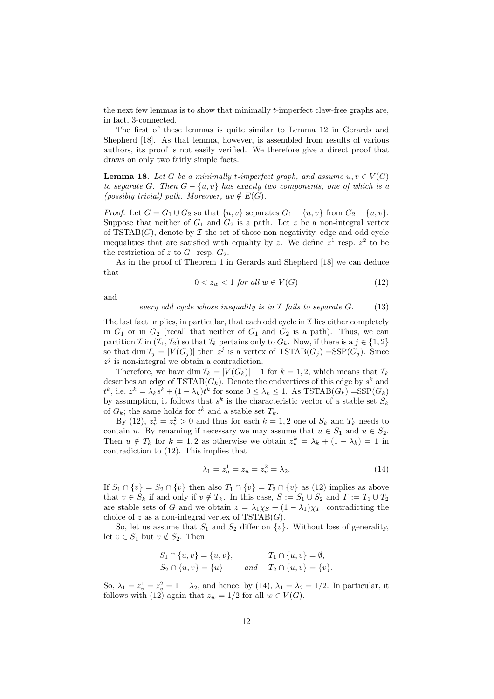the next few lemmas is to show that minimally t-imperfect claw-free graphs are, in fact, 3-connected.

The first of these lemmas is quite similar to Lemma 12 in Gerards and Shepherd [18]. As that lemma, however, is assembled from results of various authors, its proof is not easily verified. We therefore give a direct proof that draws on only two fairly simple facts.

**Lemma 18.** Let G be a minimally t-imperfect graph, and assume  $u, v \in V(G)$ to separate G. Then  $G - \{u, v\}$  has exactly two components, one of which is a (possibly trivial) path. Moreover,  $uv \notin E(G)$ .

*Proof.* Let  $G = G_1 \cup G_2$  so that  $\{u, v\}$  separates  $G_1 - \{u, v\}$  from  $G_2 - \{u, v\}$ . Suppose that neither of  $G_1$  and  $G_2$  is a path. Let z be a non-integral vertex of  $TSTAB(G)$ , denote by  $\mathcal I$  the set of those non-negativity, edge and odd-cycle inequalities that are satisfied with equality by z. We define  $z^1$  resp.  $z^2$  to be the restriction of z to  $G_1$  resp.  $G_2$ .

As in the proof of Theorem 1 in Gerards and Shepherd [18] we can deduce that

$$
0 < z_w < 1 \text{ for all } w \in V(G) \tag{12}
$$

and

every odd cycle whose inequality is in  $\mathcal I$  fails to separate  $G.$  (13)

The last fact implies, in particular, that each odd cycle in  $\mathcal I$  lies either completely in  $G_1$  or in  $G_2$  (recall that neither of  $G_1$  and  $G_2$  is a path). Thus, we can partition I in  $(\mathcal{I}_1, \mathcal{I}_2)$  so that  $\mathcal{I}_k$  pertains only to  $G_k$ . Now, if there is a  $j \in \{1, 2\}$ so that  $\dim \mathcal{I}_j = |V(G_j)|$  then  $z^j$  is a vertex of  $TSTAB(G_j) = SSP(G_j)$ . Since  $z^j$  is non-integral we obtain a contradiction.

Therefore, we have dim  $\mathcal{I}_k = |V(G_k)| - 1$  for  $k = 1, 2$ , which means that  $\mathcal{I}_k$ describes an edge of  $TSTAB(G_k)$ . Denote the endvertices of this edge by  $s^k$  and  $t^k$ , i.e.  $z^k = \lambda_k s^k + (1 - \lambda_k)t^k$  for some  $0 \leq \lambda_k \leq 1$ . As  $TSTAB(G_k) = SSP(G_k)$ by assumption, it follows that  $s^k$  is the characteristic vector of a stable set  $S_k$ of  $G_k$ ; the same holds for  $t^k$  and a stable set  $T_k$ .

By (12),  $z_u^1 = z_u^2 > 0$  and thus for each  $k = 1, 2$  one of  $S_k$  and  $T_k$  needs to contain u. By renaming if necessary we may assume that  $u \in S_1$  and  $u \in S_2$ . Then  $u \notin T_k$  for  $k = 1, 2$  as otherwise we obtain  $z_u^k = \lambda_k + (1 - \lambda_k) = 1$  in contradiction to (12). This implies that

$$
\lambda_1 = z_u^1 = z_u = z_u^2 = \lambda_2. \tag{14}
$$

If  $S_1 \cap \{v\} = S_2 \cap \{v\}$  then also  $T_1 \cap \{v\} = T_2 \cap \{v\}$  as (12) implies as above that  $v \in S_k$  if and only if  $v \notin T_k$ . In this case,  $S := S_1 \cup S_2$  and  $T := T_1 \cup T_2$ are stable sets of G and we obtain  $z = \lambda_1 \chi_S + (1 - \lambda_1) \chi_T$ , contradicting the choice of z as a non-integral vertex of  $TSTAB(G)$ .

So, let us assume that  $S_1$  and  $S_2$  differ on  $\{v\}$ . Without loss of generality, let  $v \in S_1$  but  $v \notin S_2$ . Then

$$
S_1 \cap \{u, v\} = \{u, v\}, \qquad T_1 \cap \{u, v\} = \emptyset, S_2 \cap \{u, v\} = \{u\} \qquad and \quad T_2 \cap \{u, v\} = \{v\}.
$$

So,  $\lambda_1 = z_v^1 = z_v^2 = 1 - \lambda_2$ , and hence, by (14),  $\lambda_1 = \lambda_2 = 1/2$ . In particular, it follows with (12) again that  $z_w = 1/2$  for all  $w \in V(G)$ .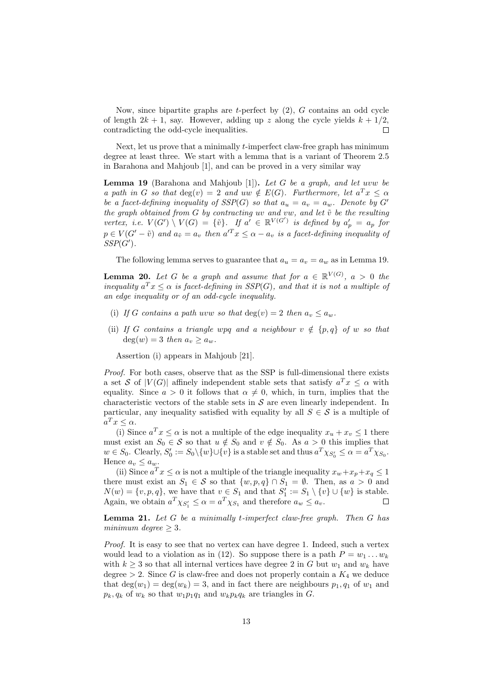Now, since bipartite graphs are t-perfect by  $(2)$ , G contains an odd cycle of length  $2k + 1$ , say. However, adding up z along the cycle yields  $k + 1/2$ , contradicting the odd-cycle inequalities.  $\Box$ 

Next, let us prove that a minimally t-imperfect claw-free graph has minimum degree at least three. We start with a lemma that is a variant of Theorem 2.5 in Barahona and Mahjoub [1], and can be proved in a very similar way

**Lemma 19** (Barahona and Mahjoub [1]). Let G be a graph, and let uvw be a path in G so that  $deg(v) = 2$  and  $uw \notin E(G)$ . Furthermore, let  $a^T x \leq \alpha$ be a facet-defining inequality of  $SSP(G)$  so that  $a_u = a_v = a_w$ . Denote by G' the graph obtained from  $G$  by contracting uv and vw, and let  $\tilde{v}$  be the resulting vertex, i.e.  $V(G') \setminus V(G) = \{\tilde{v}\}\$ . If  $a' \in \mathbb{R}^{V(G')}$  is defined by  $a'_p = a_p$  for  $p \in V(G' - \tilde{v})$  and  $a_{\tilde{v}} = a_v$  then  $a'^T x \leq \alpha - a_v$  is a facet-defining inequality of  $SSP(G')$ .

The following lemma serves to guarantee that  $a_u = a_v = a_w$  as in Lemma 19.

**Lemma 20.** Let G be a graph and assume that for  $a \in \mathbb{R}^{V(G)}$ ,  $a > 0$  the inequality  $a^T x \leq \alpha$  is facet-defining in SSP(G), and that it is not a multiple of an edge inequality or of an odd-cycle inequality.

- (i) If G contains a path uvw so that  $deg(v) = 2$  then  $a_v \le a_w$ .
- (ii) If G contains a triangle wpq and a neighbour  $v \notin \{p,q\}$  of w so that  $deg(w) = 3$  then  $a_v \ge a_w$ .

Assertion (i) appears in Mahjoub [21].

Proof. For both cases, observe that as the SSP is full-dimensional there exists a set S of  $|V(G)|$  affinely independent stable sets that satisfy  $a^T x \leq \alpha$  with equality. Since  $a > 0$  it follows that  $\alpha \neq 0$ , which, in turn, implies that the characteristic vectors of the stable sets in  $S$  are even linearly independent. In particular, any inequality satisfied with equality by all  $S \in \mathcal{S}$  is a multiple of  $a^T x \leq \alpha$ .

(i) Since  $a^T x \leq \alpha$  is not a multiple of the edge inequality  $x_u + x_v \leq 1$  there must exist an  $S_0 \in \mathcal{S}$  so that  $u \notin S_0$  and  $v \notin S_0$ . As  $a > 0$  this implies that  $w \in S_0$ . Clearly,  $S'_0 := S_0 \setminus \{w\} \cup \{v\}$  is a stable set and thus  $a^T \chi_{S'_0} \leq \alpha = a^T \chi_{S_0}$ . Hence  $a_v \le a_w$ .

(ii) Since  $a^T x \leq \alpha$  is not a multiple of the triangle inequality  $x_w + x_p + x_q \leq 1$ there must exist an  $S_1 \in \mathcal{S}$  so that  $\{w, p, q\} \cap S_1 = \emptyset$ . Then, as  $a > 0$  and  $N(w) = \{v, p, q\}$ , we have that  $v \in S_1$  and that  $S'_1 := S_1 \setminus \{v\} \cup \{w\}$  is stable. Again, we obtain  $a^T \chi_{S_1'} \leq \alpha = a^T \chi_{S_1}$  and therefore  $a_w \leq a_v$ .

**Lemma 21.** Let  $G$  be a minimally t-imperfect claw-free graph. Then  $G$  has minimum degree  $\geq 3$ .

Proof. It is easy to see that no vertex can have degree 1. Indeed, such a vertex would lead to a violation as in (12). So suppose there is a path  $P = w_1 \dots w_k$ with  $k \geq 3$  so that all internal vertices have degree 2 in G but  $w_1$  and  $w_k$  have degree  $> 2$ . Since G is claw-free and does not properly contain a  $K_4$  we deduce that  $\deg(w_1) = \deg(w_k) = 3$ , and in fact there are neighbours  $p_1, q_1$  of  $w_1$  and  $p_k, q_k$  of  $w_k$  so that  $w_1p_1q_1$  and  $w_kp_kq_k$  are triangles in G.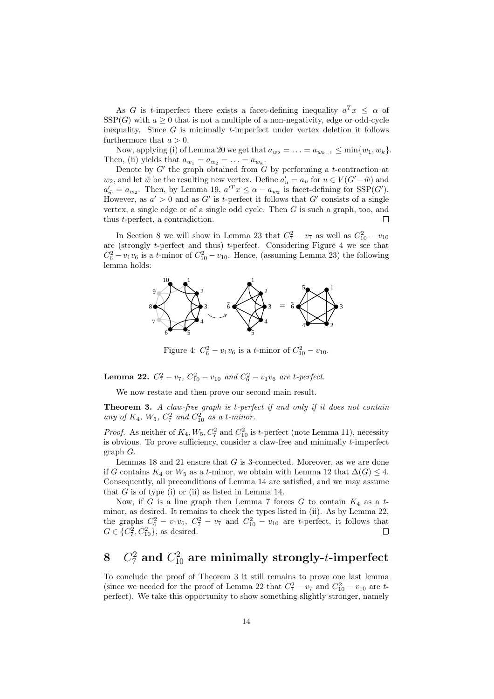As G is t-imperfect there exists a facet-defining inequality  $a^T x \leq \alpha$  of  $SSP(G)$  with  $a \geq 0$  that is not a multiple of a non-negativity, edge or odd-cycle inequality. Since  $G$  is minimally *t*-imperfect under vertex deletion it follows furthermore that  $a > 0$ .

Now, applying (i) of Lemma 20 we get that  $a_{w_2} = \ldots = a_{w_{k-1}} \le \min\{w_1, w_k\}.$ Then, (ii) yields that  $a_{w_1} = a_{w_2} = \ldots = a_{w_k}$ .

Denote by  $G'$  the graph obtained from  $G$  by performing a t-contraction at  $w_2$ , and let  $\tilde{w}$  be the resulting new vertex. Define  $a'_u = a_u$  for  $u \in V(G'-\tilde{w})$  and  $a'_{\tilde{w}} = a_{w_2}$ . Then, by Lemma 19,  $a'^T x \le \alpha - a_{w_2}$  is facet-defining for SSP(G'). However, as  $a' > 0$  and as G' is t-perfect it follows that G' consists of a single vertex, a single edge or of a single odd cycle. Then  $G$  is such a graph, too, and thus t-perfect, a contradiction.  $\Box$ 

In Section 8 we will show in Lemma 23 that  $C_7^2 - v_7$  as well as  $C_{10}^2 - v_{10}$ are (strongly t-perfect and thus) t-perfect. Considering Figure 4 we see that  $C_6^2 - v_1v_6$  is a t-minor of  $C_{10}^2 - v_{10}$ . Hence, (assuming Lemma 23) the following lemma holds:



Figure 4:  $C_6^2 - v_1v_6$  is a *t*-minor of  $C_{10}^2 - v_{10}$ .

**Lemma 22.**  $C_7^2 - v_7$ ,  $C_{10}^2 - v_{10}$  and  $C_6^2 - v_1v_6$  are t-perfect.

We now restate and then prove our second main result.

**Theorem 3.** A claw-free graph is t-perfect if and only if it does not contain any of  $K_4$ ,  $W_5$ ,  $C_7^2$  and  $C_{10}^2$  as a t-minor.

*Proof.* As neither of  $K_4$ ,  $W_5$ ,  $C_7^2$  and  $C_{10}^2$  is t-perfect (note Lemma 11), necessity is obvious. To prove sufficiency, consider a claw-free and minimally t-imperfect graph G.

Lemmas 18 and 21 ensure that  $G$  is 3-connected. Moreover, as we are done if G contains  $K_4$  or  $W_5$  as a t-minor, we obtain with Lemma 12 that  $\Delta(G) \leq 4$ . Consequently, all preconditions of Lemma 14 are satisfied, and we may assume that  $G$  is of type (i) or (ii) as listed in Lemma 14.

Now, if G is a line graph then Lemma 7 forces  $G$  to contain  $K_4$  as a tminor, as desired. It remains to check the types listed in (ii). As by Lemma 22, the graphs  $C_6^2 - v_1v_6$ ,  $C_7^2 - v_7$  and  $C_{10}^2 - v_{10}$  are t-perfect, it follows that  $G \in \{C_7^2, C_{10}^2\}$ , as desired.

# $8$   $C_7^2$  and  $C_{10}^2$  are minimally strongly-t-imperfect

To conclude the proof of Theorem 3 it still remains to prove one last lemma (since we needed for the proof of Lemma 22 that  $C_7^2 - v_7$  and  $C_{10}^2 - v_{10}$  are tperfect). We take this opportunity to show something slightly stronger, namely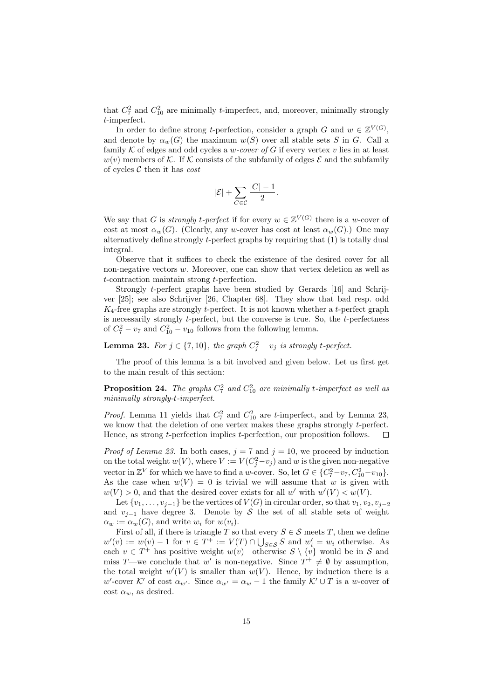that  $C_7^2$  and  $C_{10}^2$  are minimally t-imperfect, and, moreover, minimally strongly t-imperfect.

In order to define strong t-perfection, consider a graph G and  $w \in \mathbb{Z}^{V(G)}$ , and denote by  $\alpha_w(G)$  the maximum  $w(S)$  over all stable sets S in G. Call a family K of edges and odd cycles a w-cover of G if every vertex v lies in at least  $w(v)$  members of K. If K consists of the subfamily of edges  $\mathcal E$  and the subfamily of cycles  $C$  then it has  $cost$ 

$$
|\mathcal{E}|+\sum_{C\in\mathcal{C}}\frac{|C|-1}{2}.
$$

We say that G is *strongly t-perfect* if for every  $w \in \mathbb{Z}^{V(G)}$  there is a w-cover of cost at most  $\alpha_w(G)$ . (Clearly, any w-cover has cost at least  $\alpha_w(G)$ .) One may alternatively define strongly t-perfect graphs by requiring that (1) is totally dual integral.

Observe that it suffices to check the existence of the desired cover for all non-negative vectors  $w$ . Moreover, one can show that vertex deletion as well as t-contraction maintain strong t-perfection.

Strongly t-perfect graphs have been studied by Gerards [16] and Schrijver [25]; see also Schrijver [26, Chapter 68]. They show that bad resp. odd  $K_4$ -free graphs are strongly t-perfect. It is not known whether a t-perfect graph is necessarily strongly t-perfect, but the converse is true. So, the t-perfectness of  $C_7^2 - v_7$  and  $C_{10}^2 - v_{10}$  follows from the following lemma.

### **Lemma 23.** For  $j \in \{7, 10\}$ , the graph  $C_j^2 - v_j$  is strongly t-perfect.

The proof of this lemma is a bit involved and given below. Let us first get to the main result of this section:

**Proposition 24.** The graphs  $C_7^2$  and  $C_{10}^2$  are minimally t-imperfect as well as minimally strongly-t-imperfect.

*Proof.* Lemma 11 yields that  $C_7^2$  and  $C_{10}^2$  are *t*-imperfect, and by Lemma 23, we know that the deletion of one vertex makes these graphs strongly t-perfect. Hence, as strong t-perfection implies t-perfection, our proposition follows.  $\Box$ 

*Proof of Lemma 23.* In both cases,  $j = 7$  and  $j = 10$ , we proceed by induction on the total weight  $w(V)$ , where  $V := V(C_j^2 - v_j)$  and w is the given non-negative vector in  $\mathbb{Z}^V$  for which we have to find a w-cover. So, let  $G \in \{C_7^2-v_7, C_{10}^2-v_{10}\}.$ As the case when  $w(V) = 0$  is trivial we will assume that w is given with  $w(V) > 0$ , and that the desired cover exists for all w' with  $w'(V) < w(V)$ .

Let  $\{v_1, \ldots, v_{i-1}\}$  be the vertices of  $V(G)$  in circular order, so that  $v_1, v_2, v_{i-2}$ and  $v_{j-1}$  have degree 3. Denote by S the set of all stable sets of weight  $\alpha_w := \alpha_w(G)$ , and write  $w_i$  for  $w(v_i)$ .

First of all, if there is triangle T so that every  $S \in \mathcal{S}$  meets T, then we define  $w'(v) := w(v) - 1$  for  $v \in T^+ := V(T) \cap \bigcup_{S \in \mathcal{S}} S$  and  $w'_i = w_i$  otherwise. As each  $v \in T^+$  has positive weight  $w(v)$ —otherwise  $S \setminus \{v\}$  would be in S and miss T—we conclude that w' is non-negative. Since  $T^+ \neq \emptyset$  by assumption, the total weight  $w'(V)$  is smaller than  $w(V)$ . Hence, by induction there is a w'-cover K' of cost  $\alpha_{w'}$ . Since  $\alpha_{w'} = \alpha_w - 1$  the family K' ∪ T is a w-cover of cost  $\alpha_w$ , as desired.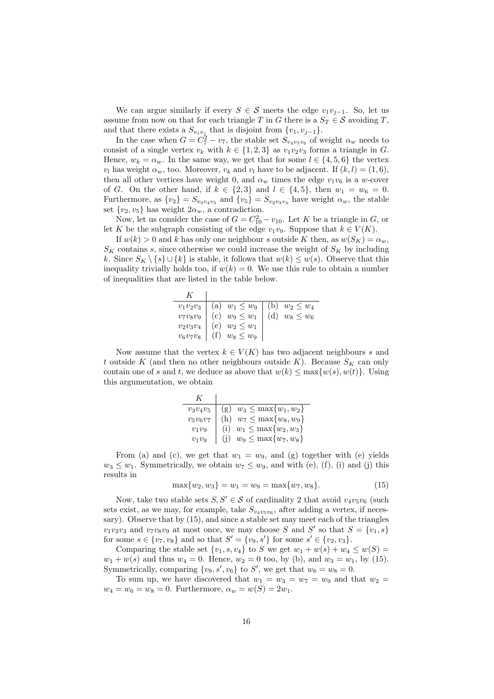We can argue similarly if every  $S \in \mathcal{S}$  meets the edge  $v_1v_{i-1}$ . So, let us assume from now on that for each triangle T in G there is a  $S_T \in \mathcal{S}$  avoiding T, and that there exists a  $S_{v_1v_j}$  that is disjoint from  $\{v_1, v_{j-1}\}.$ 

In the case when  $G = C_7^2 - v_7$ , the stable set  $S_{v_4v_5v_6}$  of weight  $\alpha_w$  needs to consist of a single vertex  $v_k$  with  $k \in \{1, 2, 3\}$  as  $v_1v_2v_3$  forms a triangle in G. Hence,  $w_k = \alpha_w$ . In the same way, we get that for some  $l \in \{4, 5, 6\}$  the vertex  $v_l$  has weight  $\alpha_w$ , too. Moreover,  $v_k$  and  $v_l$  have to be adjacent. If  $(k, l) = (1, 6)$ , then all other vertices have weight 0, and  $\alpha_w$  times the edge  $v_1v_6$  is a w-cover of G. On the other hand, if  $k \in \{2,3\}$  and  $l \in \{4,5\}$ , then  $w_1 = w_6 = 0$ . Furthermore, as  $\{v_2\} = S_{v_3v_4v_5}$  and  $\{v_5\} = S_{v_2v_3v_4}$  have weight  $\alpha_w$ , the stable set  $\{v_2, v_5\}$  has weight  $2\alpha_w$ , a contradiction.

Now, let us consider the case of  $G = C_{10}^2 - v_{10}$ . Let K be a triangle in G, or let K be the subgraph consisting of the edge  $v_1v_9$ . Suppose that  $k \in V(K)$ .

If  $w(k) > 0$  and k has only one neighbour s outside K then, as  $w(S_K) = \alpha_w$ ,  $S_K$  contains s, since otherwise we could increase the weight of  $S_K$  by including k. Since  $S_K \setminus \{s\} \cup \{k\}$  is stable, it follows that  $w(k) \leq w(s)$ . Observe that this inequality trivially holds too, if  $w(k) = 0$ . We use this rule to obtain a number of inequalities that are listed in the table below.

| $v_1v_2v_3$ |                    | (a) $w_1 \le w_9$ (b) $w_2 \le w_4$<br>(c) $w_9 \le w_1$ (d) $w_8 \le w_6$<br>(e) $w_2 \le w_1$ |
|-------------|--------------------|-------------------------------------------------------------------------------------------------|
| $v_7v_8v_9$ |                    |                                                                                                 |
| $v_2v_3v_4$ |                    |                                                                                                 |
| $v_6v_7v_8$ | (f) $w_8 \leq w_9$ |                                                                                                 |

Now assume that the vertex  $k \in V(K)$  has two adjacent neighbours s and t outside K (and then no other neighbours outside K). Because  $S_K$  can only contain one of s and t, we deduce as above that  $w(k) \leq \max\{w(s), w(t)\}\$ . Using this argumentation, we obtain

| $v_3v_4v_5$ | $w_3 \le \max\{w_1, w_2\}$<br>(g) |
|-------------|-----------------------------------|
| $v_5v_6v_7$ | $w_7 \le \max\{w_8, w_9\}$<br>(h) |
| $v_1v_9$    | $w_1 \le \max\{w_2, w_3\}$<br>(i) |
| $v_1v_9$    | $w_9 \le \max\{w_7, w_8\}$        |

From (a) and (c), we get that  $w_1 = w_9$ , and (g) together with (e) yields  $w_3 \leq w_1$ . Symmetrically, we obtain  $w_7 \leq w_9$ , and with (e), (f), (i) and (j) this results in

$$
\max\{w_2, w_3\} = w_1 = w_9 = \max\{w_7, w_8\}.
$$
\n(15)

Now, take two stable sets  $S, S' \in \mathcal{S}$  of cardinality 2 that avoid  $v_4v_5v_6$  (such sets exist, as we may, for example, take  $S_{v_4v_5v_6}$ , after adding a vertex, if necessary). Observe that by (15), and since a stable set may meet each of the triangles  $v_1v_2v_3$  and  $v_7v_8v_9$  at most once, we may choose S and S' so that  $S = \{v_1, s\}$ for some  $s \in \{v_7, v_8\}$  and so that  $S' = \{v_9, s'\}$  for some  $s' \in \{v_2, v_3\}.$ 

Comparing the stable set  $\{v_1, s, v_4\}$  to S we get  $w_1 + w(s) + w_4 \leq w(S)$  $w_1 + w(s)$  and thus  $w_4 = 0$ . Hence,  $w_2 = 0$  too, by (b), and  $w_3 = w_1$ , by (15). Symmetrically, comparing  $\{v_9, s', v_6\}$  to  $S'$ , we get that  $w_6 = w_8 = 0$ .

To sum up, we have discovered that  $w_1 = w_3 = w_7 = w_9$  and that  $w_2 =$  $w_4 = w_6 = w_8 = 0$ . Furthermore,  $\alpha_w = w(S) = 2w_1$ .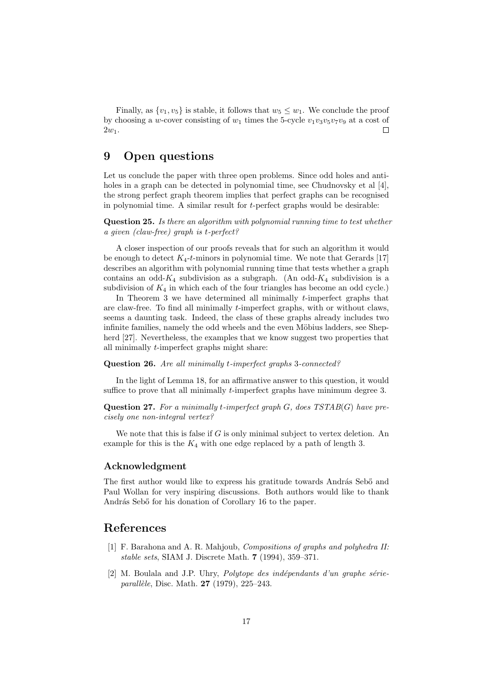Finally, as  $\{v_1, v_5\}$  is stable, it follows that  $w_5 \leq w_1$ . We conclude the proof by choosing a w-cover consisting of  $w_1$  times the 5-cycle  $v_1v_3v_5v_7v_9$  at a cost of  $2w_1$ .  $\Box$ 

## 9 Open questions

Let us conclude the paper with three open problems. Since odd holes and antiholes in a graph can be detected in polynomial time, see Chudnovsky et al [4], the strong perfect graph theorem implies that perfect graphs can be recognised in polynomial time. A similar result for t-perfect graphs would be desirable:

Question 25. Is there an algorithm with polynomial running time to test whether a given (claw-free) graph is t-perfect?

A closer inspection of our proofs reveals that for such an algorithm it would be enough to detect  $K_4$ -t-minors in polynomial time. We note that Gerards [17] describes an algorithm with polynomial running time that tests whether a graph contains an odd- $K_4$  subdivision as a subgraph. (An odd- $K_4$  subdivision is a subdivision of  $K_4$  in which each of the four triangles has become an odd cycle.)

In Theorem 3 we have determined all minimally  $t$ -imperfect graphs that are claw-free. To find all minimally t-imperfect graphs, with or without claws, seems a daunting task. Indeed, the class of these graphs already includes two infinite families, namely the odd wheels and the even Möbius ladders, see Shepherd [27]. Nevertheless, the examples that we know suggest two properties that all minimally t-imperfect graphs might share:

Question 26. Are all minimally t-imperfect graphs 3-connected?

In the light of Lemma 18, for an affirmative answer to this question, it would suffice to prove that all minimally t-imperfect graphs have minimum degree 3.

**Question 27.** For a minimally t-imperfect graph  $G$ , does  $TSTAB(G)$  have precisely one non-integral vertex?

We note that this is false if  $G$  is only minimal subject to vertex deletion. An example for this is the  $K_4$  with one edge replaced by a path of length 3.

#### Acknowledgment

The first author would like to express his gratitude towards András Sebő and Paul Wollan for very inspiring discussions. Both authors would like to thank András Sebő for his donation of Corollary 16 to the paper.

#### References

- [1] F. Barahona and A. R. Mahjoub, Compositions of graphs and polyhedra II: stable sets, SIAM J. Discrete Math. 7 (1994), 359–371.
- [2] M. Boulala and J.P. Uhry, *Polytope des indépendants d'un graphe série*parallèle, Disc. Math. 27 (1979), 225-243.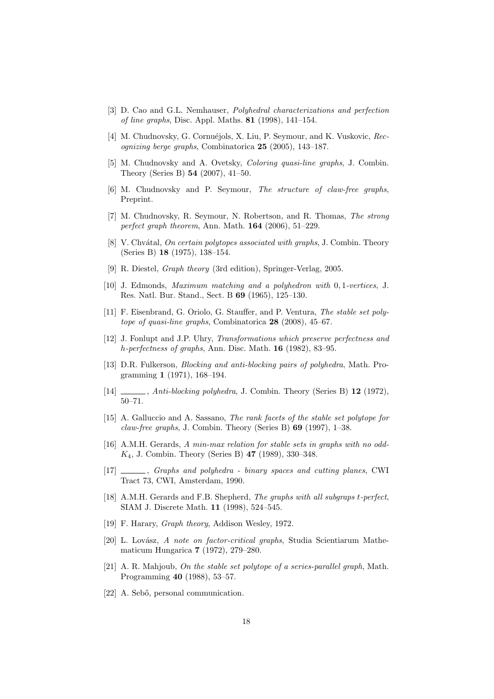- [3] D. Cao and G.L. Nemhauser, Polyhedral characterizations and perfection of line graphs, Disc. Appl. Maths. 81 (1998), 141–154.
- [4] M. Chudnovsky, G. Cornuéjols, X. Liu, P. Seymour, and K. Vuskovic, Recognizing berge graphs, Combinatorica 25 (2005), 143–187.
- [5] M. Chudnovsky and A. Ovetsky, Coloring quasi-line graphs, J. Combin. Theory (Series B) 54 (2007), 41–50.
- [6] M. Chudnovsky and P. Seymour, The structure of claw-free graphs, Preprint.
- [7] M. Chudnovsky, R. Seymour, N. Robertson, and R. Thomas, The strong perfect graph theorem, Ann. Math. 164 (2006), 51–229.
- [8] V. Chvátal, *On certain polytopes associated with graphs*, J. Combin. Theory (Series B) 18 (1975), 138–154.
- [9] R. Diestel, Graph theory (3rd edition), Springer-Verlag, 2005.
- [10] J. Edmonds, Maximum matching and a polyhedron with 0,1-vertices, J. Res. Natl. Bur. Stand., Sect. B 69 (1965), 125–130.
- [11] F. Eisenbrand, G. Oriolo, G. Stauffer, and P. Ventura, The stable set polytope of quasi-line graphs, Combinatorica 28 (2008), 45–67.
- [12] J. Fonlupt and J.P. Uhry, Transformations which preserve perfectness and h-perfectness of graphs, Ann. Disc. Math. 16 (1982), 83–95.
- [13] D.R. Fulkerson, Blocking and anti-blocking pairs of polyhedra, Math. Programming 1 (1971), 168–194.
- [14]  $\_\_\_\_\$ , Anti-blocking polyhedra, J. Combin. Theory (Series B) 12 (1972), 50–71.
- [15] A. Galluccio and A. Sassano, The rank facets of the stable set polytope for claw-free graphs, J. Combin. Theory (Series B)  $69$  (1997), 1–38.
- [16] A.M.H. Gerards, A min-max relation for stable sets in graphs with no odd-K4, J. Combin. Theory (Series B) 47 (1989), 330–348.
- [17] \_\_\_\_\_, Graphs and polyhedra binary spaces and cutting planes, CWI Tract 73, CWI, Amsterdam, 1990.
- [18] A.M.H. Gerards and F.B. Shepherd, The graphs with all subgraps t-perfect, SIAM J. Discrete Math. 11 (1998), 524–545.
- [19] F. Harary, Graph theory, Addison Wesley, 1972.
- $[20]$  L. Lovász, A note on factor-critical graphs, Studia Scientiarum Mathematicum Hungarica 7 (1972), 279–280.
- [21] A. R. Mahjoub, On the stable set polytope of a series-parallel graph, Math. Programming 40 (1988), 53–57.
- [22] A. Sebő, personal communication.